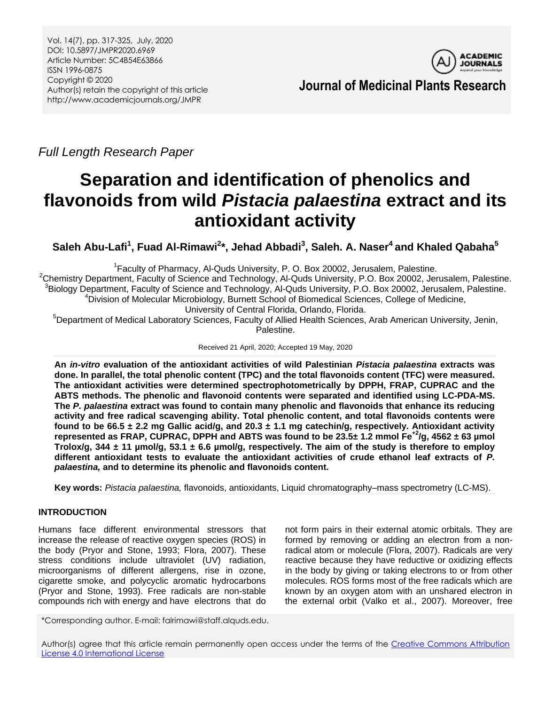

**Journal of Medicinal Plants Research**

*Full Length Research Paper*

# **Separation and identification of phenolics and flavonoids from wild** *Pistacia palaestina* **extract and its antioxidant activity**

**Saleh Abu-Lafi<sup>1</sup> , Fuad Al-Rimawi<sup>2</sup> \*, Jehad Abbadi<sup>3</sup> , Saleh. A. Naser<sup>4</sup>and Khaled Qabaha<sup>5</sup>**

<sup>1</sup> Faculty of Pharmacy, Al-Quds University, P. O. Box 20002, Jerusalem, Palestine. <sup>2</sup>Chemistry Department, Faculty of Science and Technology, Al-Quds University, P.O. Box 20002, Jerusalem, Palestine. <sup>3</sup>Biology Department, Faculty of Science and Technology, Al-Quds University, P.O. Box 20002, Jerusalem, Palestine. <sup>4</sup>Division of Molecular Microbiology, Burnett School of Biomedical Sciences, College of Medicine, University of Central Florida, Orlando, Florida.

<sup>5</sup>Department of Medical Laboratory Sciences, Faculty of Allied Health Sciences, Arab American University, Jenin, Palestine.

Received 21 April, 2020; Accepted 19 May, 2020

**An** *in-vitro* **evaluation of the antioxidant activities of wild Palestinian** *Pistacia palaestina* **extracts was done. In parallel, the total phenolic content (TPC) and the total flavonoids content (TFC) were measured. The antioxidant activities were determined spectrophotometrically by DPPH, FRAP, CUPRAC and the ABTS methods. The phenolic and flavonoid contents were separated and identified using LC-PDA-MS. The** *P. palaestina* **extract was found to contain many phenolic and flavonoids that enhance its reducing activity and free radical scavenging ability. Total phenolic content, and total flavonoids contents were found to be 66.5 ± 2.2 mg Gallic acid/g, and 20.3 ± 1.1 mg catechin/g, respectively. Antioxidant activity**  represented as FRAP, CUPRAC, DPPH and ABTS was found to be  $23.5\pm 1.2$  mmol Fe<sup>+2</sup>/g, 4562  $\pm$  63 µmol **Trolox/g, 344 ± 11 µmol/g, 53.1 ± 6.6 µmol/g, respectively. The aim of the study is therefore to employ different antioxidant tests to evaluate the antioxidant activities of crude ethanol leaf extracts of** *P. palaestina,* **and to determine its phenolic and flavonoids content.** 

**Key words:** *Pistacia palaestina,* flavonoids, antioxidants, Liquid chromatography–mass spectrometry (LC-MS).

# **INTRODUCTION**

Humans face different environmental stressors that increase the release of reactive oxygen species (ROS) in the body (Pryor and Stone, 1993; Flora, 2007). These stress conditions include ultraviolet (UV) radiation, microorganisms of different allergens, rise in ozone, cigarette smoke, and polycyclic aromatic hydrocarbons (Pryor and Stone, 1993). Free radicals are non-stable compounds rich with energy and have electrons that do

not form pairs in their external atomic orbitals. They are formed by removing or adding an electron from a nonradical atom or molecule (Flora, 2007). Radicals are very reactive because they have reductive or oxidizing effects in the body by giving or taking electrons to or from other molecules. ROS forms most of the free radicals which are known by an oxygen atom with an unshared electron in the external orbit (Valko et al., 2007). Moreover, free

\*Corresponding author. E-mail: falrimawi@staff.alquds.edu.

Author(s) agree that this article remain permanently open access under the terms of the Creative Commons Attribution [License 4.0 International License](http://creativecommons.org/licenses/by/4.0/deed.en_US)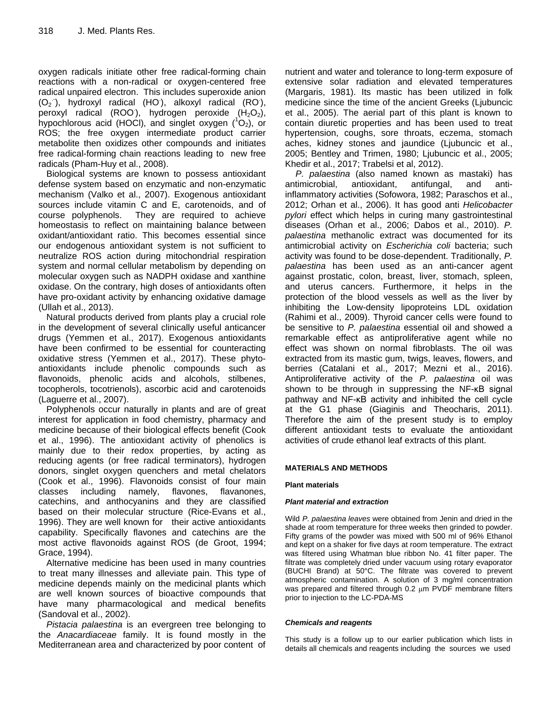oxygen radicals initiate other free radical-forming chain reactions with a non-radical or oxygen-centered free radical unpaired electron. This includes superoxide anion  $(O_2)$ , hydroxyl radical (HO), alkoxyl radical (RO),  $\overline{p}$ eroxyl radical (ROO), hydrogen peroxide (H<sub>2</sub>O<sub>2</sub>), hypochlorous acid (HOCl), and singlet oxygen  $(^1O_2)$ , or ROS; the free oxygen intermediate product carrier metabolite then oxidizes other compounds and initiates free radical-forming chain reactions leading to new free radicals (Pham-Huy et al., 2008).

Biological systems are known to possess antioxidant defense system based on enzymatic and non-enzymatic mechanism (Valko et al., 2007). Exogenous antioxidant sources include vitamin C and E, carotenoids, and of course polyphenols. They are required to achieve homeostasis to reflect on maintaining balance between oxidant/antioxidant ratio. This becomes essential since our endogenous antioxidant system is not sufficient to neutralize ROS action during mitochondrial respiration system and normal cellular metabolism by depending on molecular oxygen such as NADPH oxidase and xanthine oxidase. On the contrary, high doses of antioxidants often have pro-oxidant activity by enhancing oxidative damage (Ullah et al., 2013).

Natural products derived from plants play a crucial role in the development of several clinically useful anticancer drugs (Yemmen et al., 2017). Exogenous antioxidants have been confirmed to be essential for counteracting oxidative stress (Yemmen et al., 2017). These phytoantioxidants include phenolic compounds such as flavonoids, phenolic acids and alcohols, stilbenes, tocopherols, tocotrienols), ascorbic acid and carotenoids (Laguerre et al., 2007).

Polyphenols occur naturally in plants and are of great interest for application in food chemistry, pharmacy and medicine because of their biological effects benefit (Cook et al., 1996). The antioxidant activity of phenolics is mainly due to their redox properties, by acting as reducing agents (or free radical terminators), hydrogen donors, singlet oxygen quenchers and metal chelators (Cook et al., 1996). Flavonoids consist of four main classes including namely, flavones, flavanones, catechins, and anthocyanins and they are classified based on their molecular structure (Rice-Evans et al., 1996). They are well known for their active antioxidants capability. Specifically flavones and catechins are the most active flavonoids against ROS (de Groot, 1994; Grace, 1994).

Alternative medicine has been used in many countries to treat many illnesses and alleviate pain. This type of medicine depends mainly on the medicinal plants which are well known sources of bioactive compounds that have many pharmacological and medical benefits (Sandoval et al., 2002).

*Pistacia palaestina* is an evergreen tree belonging to the *Anacardiaceae* family. It is found mostly in the Mediterranean area and characterized by poor content of nutrient and water and tolerance to long-term exposure of extensive solar radiation and elevated temperatures (Margaris, 1981). Its mastic has been utilized in folk medicine since the time of the ancient Greeks (Ljubuncic et al., 2005). The aerial part of this plant is known to contain diuretic properties and has been used to treat hypertension, coughs, sore throats, eczema, stomach aches, kidney stones and jaundice (Ljubuncic et al., 2005; Bentley and Trimen, 1980; Ljubuncic et al., 2005; Khedir et al., 2017; Trabelsi et al, 2012).

*P. palaestina* (also named known as mastaki) has antimicrobial, antioxidant, antifungal, and antiinflammatory activities (Sofowora, 1982; Paraschos et al., 2012; Orhan et al., 2006). It has good anti *Helicobacter pylori* effect which helps in curing many gastrointestinal diseases (Orhan et al., 2006; Dabos et al., 2010). *P. palaestina* methanolic extract was documented for its antimicrobial activity on *Escherichia coli* bacteria; such activity was found to be dose-dependent. Traditionally, *P. palaestina* has been used as an anti-cancer agent against prostatic, colon, breast, liver, stomach, spleen, and uterus cancers. Furthermore, it helps in the protection of the blood vessels as well as the liver by inhibiting the Low-density lipoproteins LDL oxidation (Rahimi et al., 2009). Thyroid cancer cells were found to be sensitive to *P. palaestina* essential oil and showed a remarkable effect as antiproliferative agent while no effect was shown on normal fibroblasts. The oil was extracted from its mastic gum, twigs, leaves, flowers, and berries (Catalani et al., 2017; Mezni et al., 2016). Antiproliferative activity of the *P. palaestina* oil was shown to be through in suppressing the NF-κB signal pathway and NF-κB activity and inhibited the cell cycle at the G1 phase (Giaginis and Theocharis, 2011). Therefore the aim of the present study is to employ different antioxidant tests to evaluate the antioxidant activities of crude ethanol leaf extracts of this plant.

## **MATERIALS AND METHODS**

## **Plant materials**

## *Plant material and extraction*

Wild *P. palaestina leaves* were obtained from Jenin and dried in the shade at room temperature for three weeks then grinded to powder. Fifty grams of the powder was mixed with 500 ml of 96% Ethanol and kept on a shaker for five days at room temperature. The extract was filtered using Whatman blue ribbon No. 41 filter paper. The filtrate was completely dried under vacuum using rotary evaporator (BUCHI Brand) at 50°C. The filtrate was covered to prevent atmospheric contamination. A solution of 3 mg/ml concentration was prepared and filtered through  $0.2 \mu m$  PVDF membrane filters prior to injection to the LC-PDA-MS

## *Chemicals and reagents*

This study is a follow up to our earlier publication which lists in details all chemicals and reagents including the sources we used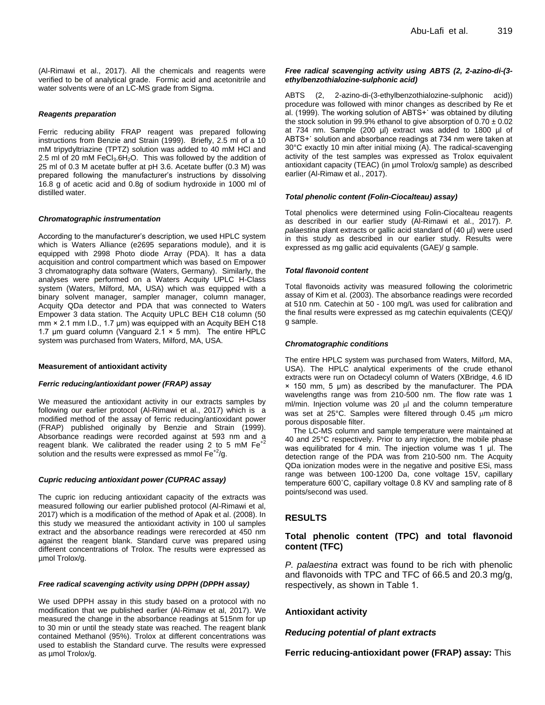(Al-Rimawi et al., 2017). All the chemicals and reagents were verified to be of analytical grade. Formic acid and acetonitrile and water solvents were of an LC-MS grade from Sigma.

#### *Reagents preparation*

Ferric reducing ability FRAP reagent was prepared following instructions from Benzie and Strain (1999). Briefly, 2.5 ml of a 10 mM tripydyltriazine (TPTZ) solution was added to 40 mM HCl and 2.5 ml of 20 mM FeCl $_3.6H_2O$ . This was followed by the addition of 25 ml of 0.3 M acetate buffer at pH 3.6. Acetate buffer (0.3 M) was prepared following the manufacturer's instructions by dissolving 16.8 g of acetic acid and 0.8g of sodium hydroxide in 1000 ml of distilled water.

#### *Chromatographic instrumentation*

According to the manufacturer's description, we used HPLC system which is Waters Alliance (e2695 separations module), and it is equipped with 2998 Photo diode Array (PDA). It has a data acquisition and control compartment which was based on Empower 3 chromatography data software (Waters, Germany). Similarly, the analyses were performed on a Waters Acquity UPLC H-Class system (Waters, Milford, MA, USA) which was equipped with a binary solvent manager, sampler manager, column manager, Acquity QDa detector and PDA that was connected to Waters Empower 3 data station. The Acquity UPLC BEH C18 column (50 mm × 2.1 mm I.D., 1.7 μm) was equipped with an Acquity BEH C18 1.7  $\mu$ m guard column (Vanguard 2.1  $\times$  5 mm). The entire HPLC system was purchased from Waters, Milford, MA, USA.

#### **Measurement of antioxidant activity**

#### *Ferric reducing/antioxidant power (FRAP) assay*

We measured the antioxidant activity in our extracts samples by following our earlier protocol (Al-Rimawi et al., 2017) which is a modified method of the assay of ferric reducing/antioxidant power (FRAP) published originally by Benzie and Strain (1999). Absorbance readings were recorded against at 593 nm and a reagent blank. We calibrated the reader using 2 to 5 mM  $Fe^{+2}$ solution and the results were expressed as mmol  $Fe^{+2}/g$ .

#### *Cupric reducing antioxidant power (CUPRAC assay)*

The cupric ion reducing antioxidant capacity of the extracts was measured following our earlier published protocol (Al-Rimawi et al, 2017) which is a modification of the method of Apak et al. (2008). In this study we measured the antioxidant activity in 100 ul samples extract and the absorbance readings were rerecorded at 450 nm against the reagent blank. Standard curve was prepared using different concentrations of Trolox. The results were expressed as µmol Trolox/g.

#### *Free radical scavenging activity using DPPH (DPPH assay)*

We used DPPH assay in this study based on a protocol with no modification that we published earlier (Al-Rimaw et al, 2017). We measured the change in the absorbance readings at 515nm for up to 30 min or until the steady state was reached. The reagent blank contained Methanol (95%). Trolox at different concentrations was used to establish the Standard curve. The results were expressed as µmol Trolox/g.

#### *Free radical scavenging activity using ABTS (2, 2-azino-di-(3 ethylbenzothialozine-sulphonic acid)*

ABTS (2, 2-azino-di-(3-ethylbenzothialozine-sulphonic acid)) procedure was followed with minor changes as described by Re et al. (1999). The working solution of ABTS+˙ was obtained by diluting the stock solution in 99.9% ethanol to give absorption of  $0.70 \pm 0.02$ at 734 nm. Sample (200 µl) extract was added to 1800 µl of ABTS+˙ solution and absorbance readings at 734 nm were taken at 30°C exactly 10 min after initial mixing (A). The radical-scavenging activity of the test samples was expressed as Trolox equivalent antioxidant capacity (TEAC) (in µmol Trolox/g sample) as described earlier (Al-Rimaw et al., 2017).

#### *Total phenolic content (Folin-Ciocalteau) assay)*

Total phenolics were determined using Folin-Ciocalteau reagents as described in our earlier study (Al-Rimawi et al., 2017). *P. palaestina* plant extracts or gallic acid standard of (40 µl) were used in this study as described in our earlier study. Results were expressed as mg gallic acid equivalents (GAE)/ g sample.

#### *Total flavonoid content*

Total flavonoids activity was measured following the colorimetric assay of Kim et al. (2003). The absorbance readings were recorded at 510 nm. Catechin at 50 - 100 mg/L was used for calibration and the final results were expressed as mg catechin equivalents (CEQ)/ g sample.

#### *Chromatographic conditions*

The entire HPLC system was purchased from Waters, Milford, MA, USA). The HPLC analytical experiments of the crude ethanol extracts were run on Octadecyl column of Waters (XBridge, 4.6 ID × 150 mm, 5 μm) as described by the manufacturer. The PDA wavelengths range was from 210-500 nm. The flow rate was 1 ml/min. Injection volume was 20 µl and the column temperature was set at 25°C. Samples were filtered through 0.45 um micro porous disposable filter.

The LC-MS column and sample temperature were maintained at 40 and 25°C respectively. Prior to any injection, the mobile phase was equilibrated for 4 min. The injection volume was 1 μl. The detection range of the PDA was from 210-500 nm. The Acquity QDa ionization modes were in the negative and positive ESi, mass range was between 100-1200 Da, cone voltage 15V, capillary temperature 600˚C, capillary voltage 0.8 KV and sampling rate of 8 points/second was used.

## **RESULTS**

## **Total phenolic content (TPC) and total flavonoid content (TFC)**

*P. palaestina* extract was found to be rich with phenolic and flavonoids with TPC and TFC of 66.5 and 20.3 mg/g, respectively, as shown in Table 1.

## **Antioxidant activity**

## *Reducing potential of plant extracts*

**Ferric reducing-antioxidant power (FRAP) assay:** This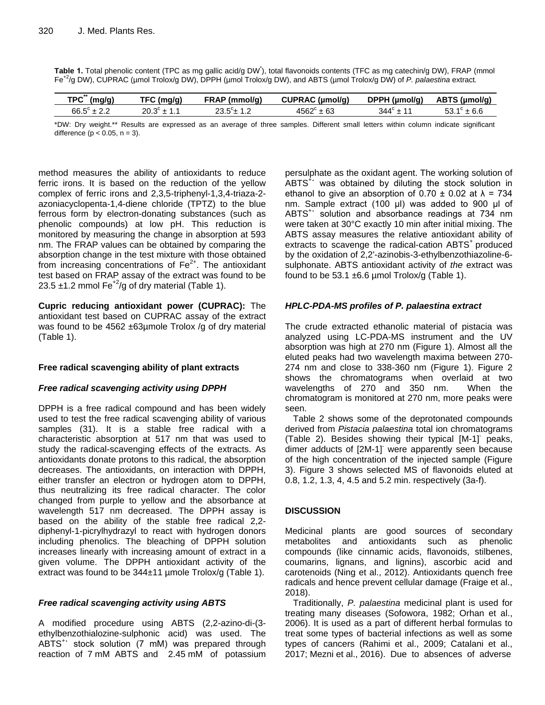|  |  |  |  | Table 1. Total phenolic content (TPC as mg gallic acid/g DW), total flavonoids contents (TFC as mg catechin/g DW), FRAP (mmol      |  |
|--|--|--|--|------------------------------------------------------------------------------------------------------------------------------------|--|
|  |  |  |  | Fe <sup>+2</sup> /g DW), CUPRAC (µmol Trolox/g DW), DPPH (µmol Trolox/g DW), and ABTS (µmol Trolox/g DW) of P. palaestina extract. |  |

| <b>TPC</b><br>(mg/g)   | TFC (ma/a) | FRAP (mmol/g) | CUPRAC (µmol/g) | DPPH (µmol/g) | ABTS (umol/g) |
|------------------------|------------|---------------|-----------------|---------------|---------------|
| $66.5^{\circ} \pm 2.2$ | า∩<br>ົດປ  |               | ±63<br>4562°    | 344° ± 11     | ± 6.6         |

\*DW: Dry weight.\*\* Results are expressed as an average of three samples. Different small letters within column indicate significant difference ( $p < 0.05$ ,  $n = 3$ ).

method measures the ability of antioxidants to reduce ferric irons. It is based on the reduction of the yellow complex of ferric irons and 2,3,5-triphenyl-1,3,4-triaza-2 azoniacyclopenta-1,4-diene chloride (TPTZ) to the blue ferrous form by electron-donating substances (such as phenolic compounds) at low pH. This reduction is monitored by measuring the change in absorption at 593 nm. The FRAP values can be obtained by comparing the absorption change in the test mixture with those obtained from increasing concentrations of  $Fe<sup>2+</sup>$ . The antioxidant test based on FRAP assay of the extract was found to be 23.5  $\pm$ 1.2 mmol Fe<sup>+2</sup>/g of dry material (Table 1).

**Cupric reducing antioxidant power (CUPRAC):** The antioxidant test based on CUPRAC assay of the extract was found to be 4562 ±63µmole Trolox /g of dry material (Table 1).

## **Free radical scavenging ability of plant extracts**

## *Free radical scavenging activity using DPPH*

DPPH is a free radical compound and has been widely used to test the free radical scavenging ability of various samples (31). It is a stable free radical with a characteristic absorption at 517 nm that was used to study the radical-scavenging effects of the extracts. As antioxidants donate protons to this radical, the absorption decreases. The antioxidants, on interaction with DPPH, either transfer an electron or hydrogen atom to DPPH, thus neutralizing its free radical character. The color changed from purple to yellow and the absorbance at wavelength 517 nm decreased. The DPPH assay is based on the ability of the stable free radical 2,2 diphenyl-1-picrylhydrazyl to react with hydrogen donors including phenolics. The bleaching of DPPH solution increases linearly with increasing amount of extract in a given volume. The DPPH antioxidant activity of the extract was found to be 344±11 µmole Trolox/g (Table 1).

# *Free radical scavenging activity using ABTS*

A modified procedure using ABTS (2,2-azino-di-(3 ethylbenzothialozine-sulphonic acid) was used. The ABTS<sup>+</sup> stock solution (7 mM) was prepared through reaction of 7 mM ABTS and 2.45 mM of potassium

persulphate as the oxidant agent. The working solution of  $ABTS^{\ddagger}$  was obtained by diluting the stock solution in ethanol to give an absorption of  $0.70 \pm 0.02$  at  $\lambda = 734$ nm. Sample extract (100 μl) was added to 900 μl of ABTS<sup>+</sup> solution and absorbance readings at 734 nm were taken at 30°C exactly 10 min after initial mixing. The ABTS assay measures the relative antioxidant ability of extracts to scavenge the radical-cation ABTS<sup>+</sup> produced by the oxidation of 2,2'-azinobis-3-ethylbenzothiazoline-6 sulphonate. ABTS antioxidant activity of *the* extract was found to be 53.1  $\pm$ 6.6 µmol Trolox/g (Table 1).

# *HPLC-PDA-MS profiles of P. palaestina extract*

The crude extracted ethanolic material of pistacia was analyzed using LC-PDA-MS instrument and the UV absorption was high at 270 nm (Figure 1). Almost all the eluted peaks had two wavelength maxima between 270- 274 nm and close to 338-360 nm (Figure 1). Figure 2 shows the chromatograms when overlaid at two wavelengths of 270 and 350 nm. When the chromatogram is monitored at 270 nm, more peaks were seen.

Table 2 shows some of the deprotonated compounds derived from *Pistacia palaestina* total ion chromatograms (Table 2). Besides showing their typical [M-1]- peaks, dimer adducts of [2M-1] were apparently seen because of the high concentration of the injected sample (Figure 3). Figure 3 shows selected MS of flavonoids eluted at 0.8, 1.2, 1.3, 4, 4.5 and 5.2 min. respectively (3a-f).

# **DISCUSSION**

Medicinal plants are good sources of secondary metabolites and antioxidants such as phenolic compounds (like cinnamic acids, flavonoids, stilbenes, coumarins, lignans, and lignins), ascorbic acid and carotenoids (Ning et al., 2012). Antioxidants quench free radicals and hence prevent cellular damage (Fraige et al., 2018).

Traditionally, *P. palaestina* medicinal plant is used for treating many diseases (Sofowora, 1982; Orhan et al., 2006). It is used as a part of different herbal formulas to treat some types of bacterial infections as well as some types of cancers (Rahimi et al., 2009; Catalani et al., 2017; Mezni et al., 2016). Due to absences of adverse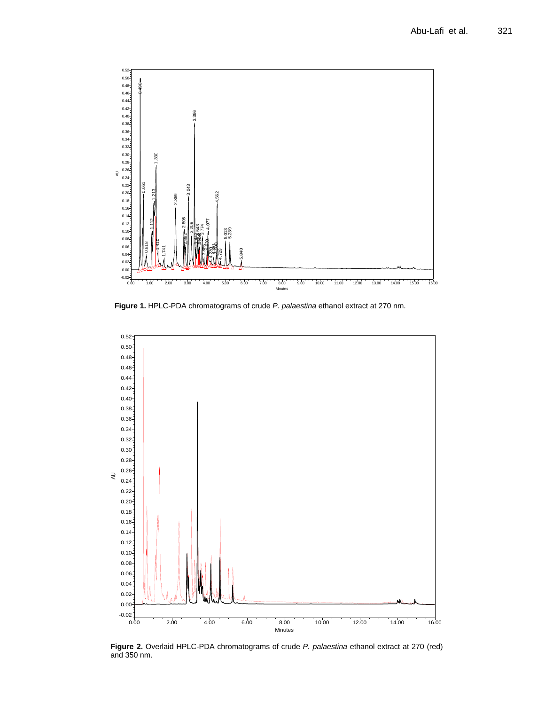

**Figure 1.** HPLC-PDA chromatograms of crude *P. palaestina* ethanol extract at 270 nm.



**Figure 2.** Overlaid HPLC-PDA chromatograms of crude *P. palaestina* ethanol extract at 270 (red) and 350 nm.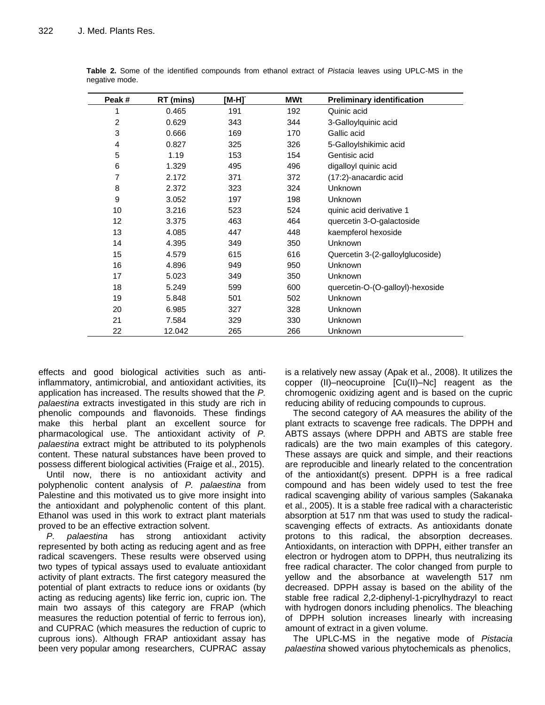| Peak#          | RT (mins) | [M-H] <sup>-</sup> | <b>MWt</b> | <b>Preliminary identification</b> |
|----------------|-----------|--------------------|------------|-----------------------------------|
| 1              | 0.465     | 191                | 192        | Quinic acid                       |
| $\overline{c}$ | 0.629     | 343                | 344        | 3-Galloylquinic acid              |
| 3              | 0.666     | 169                | 170        | Gallic acid                       |
| 4              | 0.827     | 325                | 326        | 5-Galloylshikimic acid            |
| 5              | 1.19      | 153                | 154        | Gentisic acid                     |
| 6              | 1.329     | 495                | 496        | digalloyl quinic acid             |
| $\overline{7}$ | 2.172     | 371                | 372        | (17:2)-anacardic acid             |
| 8              | 2.372     | 323                | 324        | Unknown                           |
| 9              | 3.052     | 197                | 198        | Unknown                           |
| 10             | 3.216     | 523                | 524        | quinic acid derivative 1          |
| 12             | 3.375     | 463                | 464        | quercetin 3-O-galactoside         |
| 13             | 4.085     | 447                | 448        | kaempferol hexoside               |
| 14             | 4.395     | 349                | 350        | Unknown                           |
| 15             | 4.579     | 615                | 616        | Quercetin 3-(2-galloylglucoside)  |
| 16             | 4.896     | 949                | 950        | Unknown                           |
| 17             | 5.023     | 349                | 350        | Unknown                           |
| 18             | 5.249     | 599                | 600        | quercetin-O-(O-galloyl)-hexoside  |
| 19             | 5.848     | 501                | 502        | Unknown                           |
| 20             | 6.985     | 327                | 328        | Unknown                           |
| 21             | 7.584     | 329                | 330        | Unknown                           |
| 22             | 12.042    | 265                | 266        | Unknown                           |

**Table 2.** Some of the identified compounds from ethanol extract of *Pistacia* leaves using UPLC-MS in the negative mode.

effects and good biological activities such as antiinflammatory, antimicrobial, and antioxidant activities, its application has increased. The results showed that the *P. palaestina* extracts investigated in this study are rich in phenolic compounds and flavonoids. These findings make this herbal plant an excellent source for pharmacological use. The antioxidant activity of *P. palaestina* extract might be attributed to its polyphenols content. These natural substances have been proved to possess different biological activities (Fraige et al., 2015).

Until now, there is no antioxidant activity and polyphenolic content analysis of *P. palaestina* from Palestine and this motivated us to give more insight into the antioxidant and polyphenolic content of this plant. Ethanol was used in this work to extract plant materials proved to be an effective extraction solvent.

*P. palaestina* has strong antioxidant activity represented by both acting as reducing agent and as free radical scavengers. These results were observed using two types of typical assays used to evaluate antioxidant activity of plant extracts. The first category measured the potential of plant extracts to reduce ions or oxidants (by acting as reducing agents) like ferric ion, cupric ion. The main two assays of this category are FRAP (which measures the reduction potential of ferric to ferrous ion), and CUPRAC (which measures the reduction of cupric to cuprous ions). Although FRAP antioxidant assay has been very popular among researchers, CUPRAC assay

is a relatively new assay (Apak et al., 2008). It utilizes the copper (II)–neocuproine [Cu(II)–Nc] reagent as the chromogenic oxidizing agent and is based on the cupric reducing ability of reducing compounds to cuprous.

The second category of AA measures the ability of the plant extracts to scavenge free radicals. The DPPH and ABTS assays (where DPPH and ABTS are stable free radicals) are the two main examples of this category. These assays are quick and simple, and their reactions are reproducible and linearly related to the concentration of the antioxidant(s) present. DPPH is a free radical compound and has been widely used to test the free radical scavenging ability of various samples [\(Sakanaka](https://www.researchgate.net/scientific-contributions/9945931_Senji_Sakanaka?_sg%5B0%5D=PROcrtOXolUsNAHQIC8CzzoMTjPy3D2uXr0f_6cZz5_tQgZ4xCPU7YNEIobNhhKHZ7w9TsU.pHM2AJwVLuVT04-AX9jeWy_DV6LBgrosedfbiuEeb_iwbDchXconcUb8nS8MSjdwmCdj8tgwlPSIGd-EaKdVJA&_sg%5B1%5D=k1Oc8g9JuRz46-VnQn_kfRRmzolbdC4lxq8T5AR4PCH0gescHgnoNcaJAtrk_KoT_bpUgbU.dgeARf6a22PqmRwcP7bEPS4aaP6HvvVG-b-2rf9lzVGk36B-riwdw_JneeHk9MKslmxVyw-8oi1hdAh8Z3TOpw) et al., 2005). It is a stable free radical with a characteristic absorption at 517 nm that was used to study the radicalscavenging effects of extracts. As antioxidants donate protons to this radical, the absorption decreases. Antioxidants, on interaction with DPPH, either transfer an electron or hydrogen atom to DPPH, thus neutralizing its free radical character. The color changed from purple to yellow and the absorbance at wavelength 517 nm decreased. DPPH assay is based on the ability of the stable free radical 2,2-diphenyl-1-picrylhydrazyl to react with hydrogen donors including phenolics. The bleaching of DPPH solution increases linearly with increasing amount of extract in a given volume.

The UPLC-MS in the negative mode of *Pistacia palaestina* showed various phytochemicals as phenolics,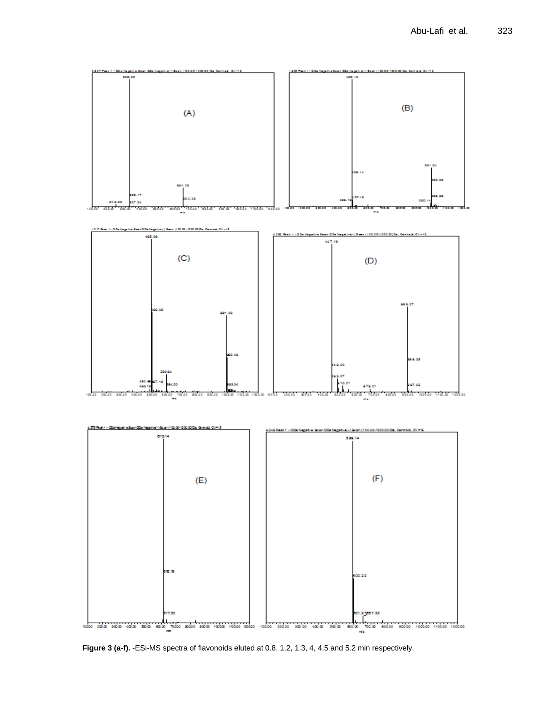

Figure 3 (a-f). -ESi-MS spectra of flavonoids eluted at 0.8, 1.2, 1.3, 4, 4.5 and 5.2 min respectively.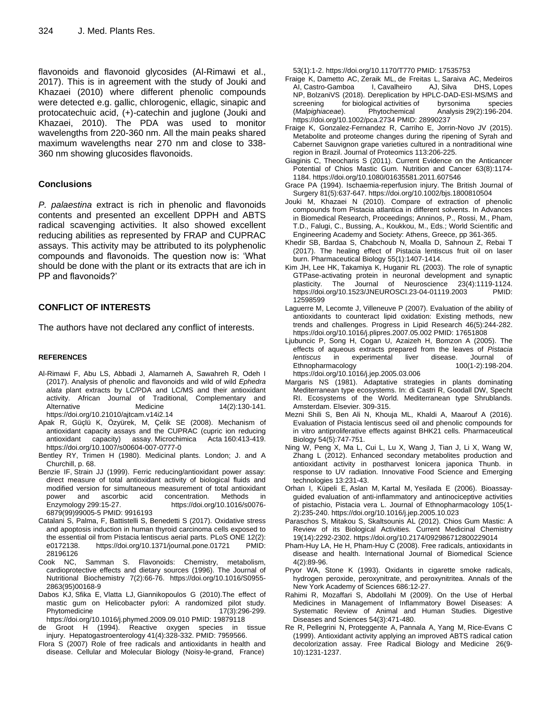flavonoids and flavonoid glycosides (Al-Rimawi et al., 2017). This is in agreement with the study of [Jouki](https://www.researchgate.net/profile/Mohammad_Jouki?_sg%5B0%5D=O_UqoB95fA9ZLaeiKwDfifOE0GwFFH8324L6uBxodKBw3kYD8Sdm1J00bco8-ptXjdm0fcE.c6vh3c6QVfH6RutJLrFlJsRfGi9qxJkQxWxpN3VuQF38mTBfQcjAi_zAC1kvaJrhMrv_xCxcwQak18FcyyzZJQ&_sg%5B1%5D=0uyF6jeKNXqsC9BlBUi1vesKz4UXWNnsTJTohic3DagE3vy_IR3Tyk7oKHn_p9NjcNvan94.YH0JkQBQ5gH982bCwvPn5wqA5kgWUF7JsZhJrTcrJw_GttXKq73ScTyU2wpBncu4NlBTvqsAGtVMuzhoyG7YHg) and [Khazaei](https://www.researchgate.net/scientific-contributions/2033983627_Naimeh_Khazaei?_sg%5B0%5D=O_UqoB95fA9ZLaeiKwDfifOE0GwFFH8324L6uBxodKBw3kYD8Sdm1J00bco8-ptXjdm0fcE.c6vh3c6QVfH6RutJLrFlJsRfGi9qxJkQxWxpN3VuQF38mTBfQcjAi_zAC1kvaJrhMrv_xCxcwQak18FcyyzZJQ&_sg%5B1%5D=0uyF6jeKNXqsC9BlBUi1vesKz4UXWNnsTJTohic3DagE3vy_IR3Tyk7oKHn_p9NjcNvan94.YH0JkQBQ5gH982bCwvPn5wqA5kgWUF7JsZhJrTcrJw_GttXKq73ScTyU2wpBncu4NlBTvqsAGtVMuzhoyG7YHg) (2010) where different phenolic compounds were detected e.g. gallic, chlorogenic, ellagic, sinapic and protocatechuic acid, (+)-catechin and juglone (Jouki and Khazaei, 2010). The PDA was used to monitor wavelengths from 220-360 nm. All the main peaks shared maximum wavelengths near 270 nm and close to 338- 360 nm showing glucosides flavonoids.

# **Conclusions**

*P. palaestina* extract is rich in phenolic and flavonoids contents and presented an excellent DPPH and ABTS radical scavenging activities. It also showed excellent reducing abilities as represented by FRAP and CUPRAC assays. This activity may be attributed to its polyphenolic compounds and flavonoids. The question now is: 'What should be done with the plant or its extracts that are ich in PP and flavonoids?'

# **CONFLICT OF INTERESTS**

The authors have not declared any conflict of interests.

## **REFERENCES**

- Al-Rimawi F, Abu LS, Abbadi J, Alamarneh A, Sawahreh R, Odeh I (2017). Analysis of phenolic and flavonoids and wild of wild *Ephedra alata* plant extracts by LC/PDA and LC/MS and their antioxidant activity. African Journal of Traditional, Complementary and Alternative Medicine 14(2):130-141. https://doi.org/10.21010/ajtcam.v14i2.14
- Apak R, Güçlü K, Özyürek, M, Çelik SE (2008). Mechanism of antioxidant capacity assays and the CUPRAC (cupric ion reducing antioxidant capacity) assay. Microchimica Acta 160:413-419. https://doi.org/10.1007/s00604-007-0777-0
- Bentley RY, Trimen H (1980). Medicinal plants. London; J. and A Churchill, p. 68.
- [Benzie IF,](https://www.ncbi.nlm.nih.gov/pubmed/?term=Benzie%20IF%5BAuthor%5D&cauthor=true&cauthor_uid=9916193) [Strain JJ](https://www.ncbi.nlm.nih.gov/pubmed/?term=Strain%20JJ%5BAuthor%5D&cauthor=true&cauthor_uid=9916193) (1999). Ferric reducing/antioxidant power assay: direct measure of total antioxidant activity of biological fluids and modified version for simultaneous measurement of total antioxidant power and ascorbic acid concentration. Methods in Enzymology 299:15-27. https://doi.org/10.1016/s0076- 6879(99)99005-5 PMID: 9916193
- Catalani S, Palma, F, Battistelli S, Benedetti S (2017). Oxidative stress and apoptosis induction in human thyroid carcinoma cells exposed to the essential oil from Pistacia lentiscus aerial parts. PLoS ONE 12(2): e0172138. https://doi.org/10.1371/journal.pone.01721 PMID: 28196126
- Cook NC, Samman S. Flavonoids: Chemistry, metabolism, cardioprotective effects and dietary sources (1996). The Journal of Nutritional Biochemistry 7(2):66-76. https://doi.org/10.1016/S0955- 2863(95)00168-9
- Dabos KJ, Sfika E, Vlatta LJ, Giannikopoulos G (2010).The effect of mastic gum on Helicobacter pylori: A randomized pilot study. Phytomedicine 17(3):296-299. https://doi.org/10.1016/j.phymed.2009.09.010 PMID: 19879118
- de Groot H (1994). Reactive oxygen species in tissue injury. Hepatogastroenterology 41(4):328-332. PMID: 7959566.
- Flora S (2007) Role of free radicals and antioxidants in health and disease. Cellular and Molecular Biology (Noisy-le-grand, France)

53(1):1-2. https://doi.org/10.1170/T770 PMID: 17535753

- [Fraige](https://www.ncbi.nlm.nih.gov/pubmed/?term=Fraige%20K%5BAuthor%5D&cauthor=true&cauthor_uid=28990237) K, [Dametto AC,](https://www.ncbi.nlm.nih.gov/pubmed/?term=Dametto%20AC%5BAuthor%5D&cauthor=true&cauthor_uid=28990237) [Zeraik ML,](https://www.ncbi.nlm.nih.gov/pubmed/?term=Zeraik%20ML%5BAuthor%5D&cauthor=true&cauthor_uid=28990237) [de Freitas L,](https://www.ncbi.nlm.nih.gov/pubmed/?term=de%20Freitas%20L%5BAuthor%5D&cauthor=true&cauthor_uid=28990237) [Saraiva AC,](https://www.ncbi.nlm.nih.gov/pubmed/?term=Saraiva%20AC%5BAuthor%5D&cauthor=true&cauthor_uid=28990237) [Medeiros](https://www.ncbi.nlm.nih.gov/pubmed/?term=Medeiros%20AI%5BAuthor%5D&cauthor=true&cauthor_uid=28990237)  [AI,](https://www.ncbi.nlm.nih.gov/pubmed/?term=Medeiros%20AI%5BAuthor%5D&cauthor=true&cauthor_uid=28990237) [Castro-Gamboa I,](https://www.ncbi.nlm.nih.gov/pubmed/?term=Castro-Gamboa%20I%5BAuthor%5D&cauthor=true&cauthor_uid=28990237) [Cavalheiro AJ,](https://www.ncbi.nlm.nih.gov/pubmed/?term=Cavalheiro%20AJ%5BAuthor%5D&cauthor=true&cauthor_uid=28990237) [Silva DHS,](https://www.ncbi.nlm.nih.gov/pubmed/?term=Silva%20DHS%5BAuthor%5D&cauthor=true&cauthor_uid=28990237) [Lopes](https://www.ncbi.nlm.nih.gov/pubmed/?term=Lopes%20NP%5BAuthor%5D&cauthor=true&cauthor_uid=28990237)  [NP,](https://www.ncbi.nlm.nih.gov/pubmed/?term=Lopes%20NP%5BAuthor%5D&cauthor=true&cauthor_uid=28990237) [BolzaniVS](https://www.ncbi.nlm.nih.gov/pubmed/?term=Bolzani%20VS%5BAuthor%5D&cauthor=true&cauthor_uid=28990237) (2018). Dereplication by HPLC-DAD-ESI-MS/MS and screening for biological activities of byrsonima species (*Malpighiaceae*). Phytochemical Analysis 29(2):196-204. https://doi.org/10.1002/pca.2734 PMID: 28990237
- Fraige K, Gonzalez-Fernandez R, Carriho E, Jorrin-Novo JV (2015). Metabolite and proteome changes during the ripening of Syrah and Cabernet Sauvignon grape varieties cultured in a nontraditional wine region in Brazil. Journal of Proteomics 113:206-225.
- Giaginis C, Theocharis S (2011). Current Evidence on the Anticancer Potential of Chios Mastic Gum*.* Nutrition and Cancer 63(8):1174- 1184. https://doi.org/10.1080/01635581.2011.607546
- Grace PA (1994). Ischaemia-reperfusion injury. The British Journal of Surgery 81(5):637-647. https://doi.org/10.1002/bjs.1800810504
- Jouki M, Khazaei N (2010). Compare of extraction of phenolic compounds from Pistacia atlantica in different solvents. In Advances in Biomedical Research, Proceedings; Anninos, P., Rossi, M., Pham, T.D., Falugi, C., Bussing, A., Koukkou, M., Eds.; World Scientific and Engineering Academy and Society: Athens, Greece, pp 361-365.
- Khedir SB, Bardaa S, Chabchoub N, Moalla D, Sahnoun Z, Rebai T (2017). The healing effect of Pistacia lentiscus fruit oil on laser burn. Pharmaceutical Biology 55(1):1407‐1414.
- [Kim JH,](https://www.ncbi.nlm.nih.gov/pubmed/?term=Kim%20JH%5BAuthor%5D&cauthor=true&cauthor_uid=12598599) [Lee HK,](https://www.ncbi.nlm.nih.gov/pubmed/?term=Lee%20HK%5BAuthor%5D&cauthor=true&cauthor_uid=12598599) [Takamiya K,](https://www.ncbi.nlm.nih.gov/pubmed/?term=Takamiya%20K%5BAuthor%5D&cauthor=true&cauthor_uid=12598599) [Huganir RL](https://www.ncbi.nlm.nih.gov/pubmed/?term=Huganir%20RL%5BAuthor%5D&cauthor=true&cauthor_uid=12598599) (2003). The role of synaptic GTPase-activating protein in neuronal development and synaptic plasticity. The Journal of Neuroscience 23(4):1119-1124. https://doi.org/10.1523/JNEUROSCI.23-04-01119.2003 PMID: 12598599
- Laguerre M, Lecomte J, Villeneuve P (2007). Evaluation of the ability of antioxidants to counteract lipid oxidation: Existing methods, new trends and challenges. Progress in Lipid Research 46(5):244-282. https://doi.org/10.1016/j.plipres.2007.05.002 PMID: 17651808
- Ljubuncic P, Song H, Cogan U, Azaizeh H, Bomzon A (2005). The effects of aqueous extracts prepared from the leaves of *Pistacia lentiscus* in experimental liver disease. Journal of<br>Ethnopharmacology 100(1-2):198-204. Ethnopharmacology https://doi.org/10.1016/j.jep.2005.03.006
- Margaris NS (1981). Adaptative strategies in plants dominating Mediterranean type ecosystems. In: di Castri R, Goodall DW, Specht RI. Ecosystems of the World. Mediterranean type Shrublands. Amsterdam. Elsevier. 309-315.
- Mezni Shili S, Ben Ali N, Khouja ML, Khaldi A, Maarouf A (2016). Evaluation of Pistacia lentiscus seed oil and phenolic compounds for in vitro antiproliferative effects against BHK21 cells*.* Pharmaceutical Biology 54(5):747-751.
- Ning W, Peng X, Ma L, Cui L, Lu X, Wang J, Tian J, Li X, Wang W, Zhang L (2012). Enhanced secondary metabolites production and antioxidant activity in postharvest lonicera japonica Thunb. in response to UV radiation. Innovative Food Science and Emerging technologies 13:231-43.
- Orhan I, Küpeli E, Aslan M, Kartal M, Yesilada E (2006). Bioassayguided evaluation of anti-inflammatory and antinociceptive activities of pistachio, Pistacia vera L. Journal of Ethnopharmacology 105(1- 2):235-240. https://doi.org/10.1016/j.jep.2005.10.023
- Paraschos S, Mitakou S, Skaltsounis AL (2012). Chios Gum Mastic: A Review of its Biological Activities*.* Current Medicinal Chemistry 19(14):2292-2302. https://doi.org/10.2174/092986712800229014
- Pham-Huy LA, He H, Pham-Huy C (2008). Free radicals, antioxidants in disease and health. International Journal of Biomedical Science 4(2):89-96.
- Pryor WA, Stone K (1993). Oxidants in cigarette smoke radicals, hydrogen peroxide, peroxynitrate, and peroxynitritea. Annals of the New York Academy of Sciences 686:12-27.
- Rahimi R, Mozaffari S, Abdollahi M (2009). On the Use of Herbal Medicines in Management of Inflammatory Bowel Diseases: A Systematic Review of Animal and Human Studies*.* Digestive Diseases and Sciences 54(3):471-480.
- [Re R,](https://www.ncbi.nlm.nih.gov/pubmed/?term=Re%20R%5BAuthor%5D&cauthor=true&cauthor_uid=10381194) [Pellegrini N,](https://www.ncbi.nlm.nih.gov/pubmed/?term=Pellegrini%20N%5BAuthor%5D&cauthor=true&cauthor_uid=10381194) [Proteggente A,](https://www.ncbi.nlm.nih.gov/pubmed/?term=Proteggente%20A%5BAuthor%5D&cauthor=true&cauthor_uid=10381194) [Pannala A,](https://www.ncbi.nlm.nih.gov/pubmed/?term=Pannala%20A%5BAuthor%5D&cauthor=true&cauthor_uid=10381194) [Yang M,](https://www.ncbi.nlm.nih.gov/pubmed/?term=Yang%20M%5BAuthor%5D&cauthor=true&cauthor_uid=10381194) [Rice-Evans C](https://www.ncbi.nlm.nih.gov/pubmed/?term=Rice-Evans%20C%5BAuthor%5D&cauthor=true&cauthor_uid=10381194) (1999). Antioxidant activity applying an improved ABTS radical cation decolorization assay. [Free Radical Biology and](https://www.ncbi.nlm.nih.gov/pubmed/10381194) Medicine 26(9- 10):1231-1237.